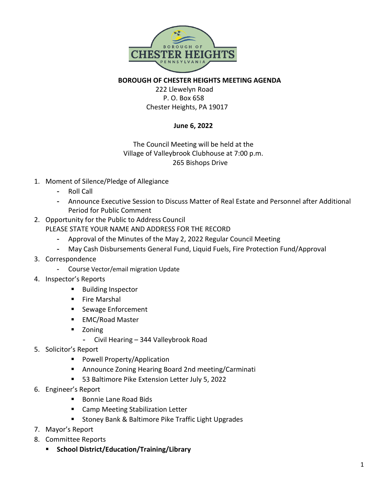

**BOROUGH OF CHESTER HEIGHTS MEETING AGENDA** 222 Llewelyn Road P. O. Box 658 Chester Heights, PA 19017

## **June 6, 2022**

## The Council Meeting will be held at the Village of Valleybrook Clubhouse at 7:00 p.m. 265 Bishops Drive

- 1. Moment of Silence/Pledge of Allegiance
	- Roll Call
	- Announce Executive Session to Discuss Matter of Real Estate and Personnel after Additional Period for Public Comment
- 2. Opportunity for the Public to Address Council

PLEASE STATE YOUR NAME AND ADDRESS FOR THE RECORD

- Approval of the Minutes of the May 2, 2022 Regular Council Meeting
- May Cash Disbursements General Fund, Liquid Fuels, Fire Protection Fund/Approval
- 3. Correspondence
	- Course Vector/email migration Update
- 4. Inspector's Reports
	- **Building Inspector**
	- **Fire Marshal**
	- Sewage Enforcement
	- EMC/Road Master
	- **E** Zoning
		- Civil Hearing 344 Valleybrook Road
- 5. Solicitor's Report
	- **Powell Property/Application**
	- Announce Zoning Hearing Board 2nd meeting/Carminati
	- **53 Baltimore Pike Extension Letter July 5, 2022**
- 6. Engineer's Report
	- Bonnie Lane Road Bids
	- **E** Camp Meeting Stabilization Letter
	- **Stoney Bank & Baltimore Pike Traffic Light Upgrades**
- 7. Mayor's Report
- 8. Committee Reports
	- **School District/Education/Training/Library**